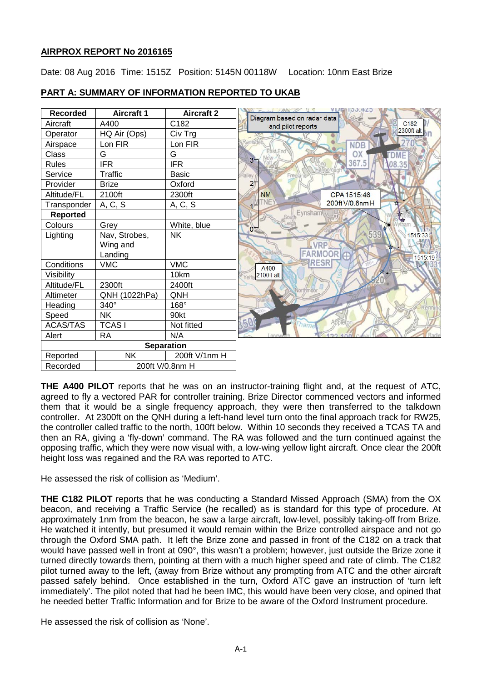# **AIRPROX REPORT No 2016165**

Date: 08 Aug 2016 Time: 1515Z Position: 5145N 00118W Location: 10nm East Brize

| <b>Recorded</b>   | <b>Aircraft 1</b> | <b>Aircraft 2</b> | Diagram based on radar data                          |
|-------------------|-------------------|-------------------|------------------------------------------------------|
| Aircraft          | A400              | C182              | C <sub>182</sub><br>and pilot reports                |
| Operator          | HQ Air (Ops)      | Civ Trg           | 2300ft alt                                           |
| Airspace          | Lon FIR           | Lon FIR           | <b>NDB</b>                                           |
| Class             | G                 | G                 | ast End<br>OX                                        |
| <b>Rules</b>      | <b>IFR</b>        | <b>IFR</b>        | 3 <sub>1</sub><br>367.5<br>08.35                     |
| Service           | <b>Traffic</b>    | <b>Basic</b>      | Hailey<br>Freeland                                   |
| Provider          | <b>Brize</b>      | Oxford            | 2 <sub>1</sub>                                       |
| Altitude/FL       | 2100ft            | 2300ft            | <b>NM</b><br>CPA 1515:46                             |
| Transponder       | A, C, S           | A, C, S           | TNE <sup></sup><br>200ft V/0.8nm H<br>$\mathbf{v}^*$ |
| <b>Reported</b>   |                   |                   | Eynsham                                              |
| Colours           | Grey              | White, blue       | 0 <sup>2</sup>                                       |
| Lighting          | Nav, Strobes,     | <b>NK</b>         | $-539$<br>1515:33                                    |
|                   | Wing and          |                   | <b>VRP</b>                                           |
|                   | Landing           |                   | Hardwi<br>FARMOOR <sup>C</sup><br>1515:19            |
| Conditions        | <b>VMC</b>        | <b>VMC</b>        | <b>RESR</b><br>A400                                  |
| Visibility        |                   | 10km              | 2100ft alt<br>Yel                                    |
| Altitude/FL       | 2300ft            | 2400ft            | Northmoc                                             |
| Altimeter         | QNH (1022hPa)     | QNH               |                                                      |
| Heading           | 340°              | 168°              |                                                      |
| Speed             | <b>NK</b>         | 90kt              |                                                      |
| <b>ACAS/TAS</b>   | <b>TCASI</b>      | Not fitted        |                                                      |
| Alert             | <b>RA</b>         | N/A               | 1.50                                                 |
| <b>Separation</b> |                   |                   |                                                      |
| Reported          | <b>NK</b>         | 200ft V/1nm H     |                                                      |
| Recorded          | 200ft V/0.8nm H   |                   |                                                      |

# **PART A: SUMMARY OF INFORMATION REPORTED TO UKAB**

**THE A400 PILOT** reports that he was on an instructor-training flight and, at the request of ATC, agreed to fly a vectored PAR for controller training. Brize Director commenced vectors and informed them that it would be a single frequency approach, they were then transferred to the talkdown controller. At 2300ft on the QNH during a left-hand level turn onto the final approach track for RW25, the controller called traffic to the north, 100ft below. Within 10 seconds they received a TCAS TA and then an RA, giving a 'fly-down' command. The RA was followed and the turn continued against the opposing traffic, which they were now visual with, a low-wing yellow light aircraft. Once clear the 200ft height loss was regained and the RA was reported to ATC.

He assessed the risk of collision as 'Medium'.

**THE C182 PILOT** reports that he was conducting a Standard Missed Approach (SMA) from the OX beacon, and receiving a Traffic Service (he recalled) as is standard for this type of procedure. At approximately 1nm from the beacon, he saw a large aircraft, low-level, possibly taking-off from Brize. He watched it intently, but presumed it would remain within the Brize controlled airspace and not go through the Oxford SMA path. It left the Brize zone and passed in front of the C182 on a track that would have passed well in front at 090°, this wasn't a problem; however, just outside the Brize zone it turned directly towards them, pointing at them with a much higher speed and rate of climb. The C182 pilot turned away to the left, (away from Brize without any prompting from ATC and the other aircraft passed safely behind. Once established in the turn, Oxford ATC gave an instruction of 'turn left immediately'. The pilot noted that had he been IMC, this would have been very close, and opined that he needed better Traffic Information and for Brize to be aware of the Oxford Instrument procedure.

He assessed the risk of collision as 'None'.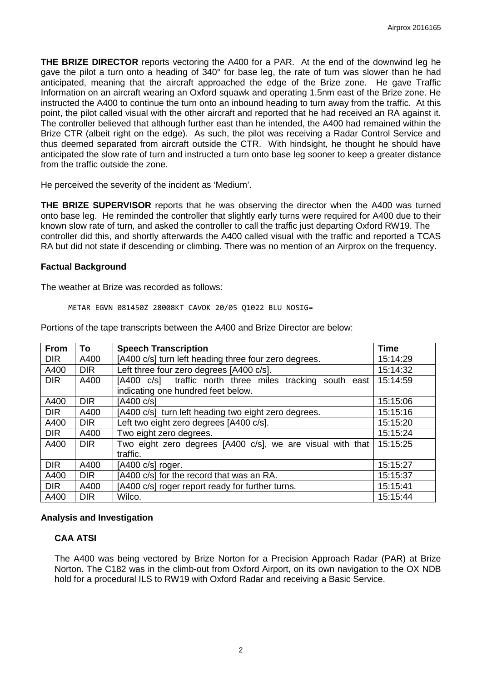**THE BRIZE DIRECTOR** reports vectoring the A400 for a PAR. At the end of the downwind leg he gave the pilot a turn onto a heading of 340° for base leg, the rate of turn was slower than he had anticipated, meaning that the aircraft approached the edge of the Brize zone. He gave Traffic Information on an aircraft wearing an Oxford squawk and operating 1.5nm east of the Brize zone. He instructed the A400 to continue the turn onto an inbound heading to turn away from the traffic. At this point, the pilot called visual with the other aircraft and reported that he had received an RA against it. The controller believed that although further east than he intended, the A400 had remained within the Brize CTR (albeit right on the edge). As such, the pilot was receiving a Radar Control Service and thus deemed separated from aircraft outside the CTR. With hindsight, he thought he should have anticipated the slow rate of turn and instructed a turn onto base leg sooner to keep a greater distance from the traffic outside the zone.

He perceived the severity of the incident as 'Medium'.

**THE BRIZE SUPERVISOR** reports that he was observing the director when the A400 was turned onto base leg. He reminded the controller that slightly early turns were required for A400 due to their known slow rate of turn, and asked the controller to call the traffic just departing Oxford RW19. The controller did this, and shortly afterwards the A400 called visual with the traffic and reported a TCAS RA but did not state if descending or climbing. There was no mention of an Airprox on the frequency.

### **Factual Background**

The weather at Brize was recorded as follows:

METAR EGVN 081450Z 28008KT CAVOK 20/05 Q1022 BLU NOSIG=

| <b>From</b> | To         | <b>Speech Transcription</b>                                | <b>Time</b> |
|-------------|------------|------------------------------------------------------------|-------------|
| <b>DIR</b>  | A400       | [A400 c/s] turn left heading three four zero degrees.      | 15:14:29    |
| A400        | <b>DIR</b> | Left three four zero degrees [A400 c/s].                   | 15:14:32    |
| <b>DIR</b>  | A400       | [A400 c/s] traffic north three miles tracking south east   | 15:14:59    |
|             |            | indicating one hundred feet below.                         |             |
| A400        | <b>DIR</b> | [A400 c/s]                                                 | 15:15:06    |
| <b>DIR</b>  | A400       | [A400 c/s] turn left heading two eight zero degrees.       | 15:15:16    |
| A400        | <b>DIR</b> | Left two eight zero degrees [A400 c/s].                    | 15:15:20    |
| <b>DIR</b>  | A400       | Two eight zero degrees.                                    | 15:15:24    |
| A400        | <b>DIR</b> | Two eight zero degrees [A400 c/s], we are visual with that | 15:15:25    |
|             |            | traffic.                                                   |             |
| <b>DIR</b>  | A400       | [A400 c/s] roger.                                          | 15:15:27    |
| A400        | <b>DIR</b> | [A400 c/s] for the record that was an RA.                  | 15:15:37    |
| <b>DIR</b>  | A400       | [A400 c/s] roger report ready for further turns.           | 15:15:41    |
| A400        | <b>DIR</b> | Wilco.                                                     | 15:15:44    |

Portions of the tape transcripts between the A400 and Brize Director are below:

# **Analysis and Investigation**

# **CAA ATSI**

The A400 was being vectored by Brize Norton for a Precision Approach Radar (PAR) at Brize Norton. The C182 was in the climb-out from Oxford Airport, on its own navigation to the OX NDB hold for a procedural ILS to RW19 with Oxford Radar and receiving a Basic Service.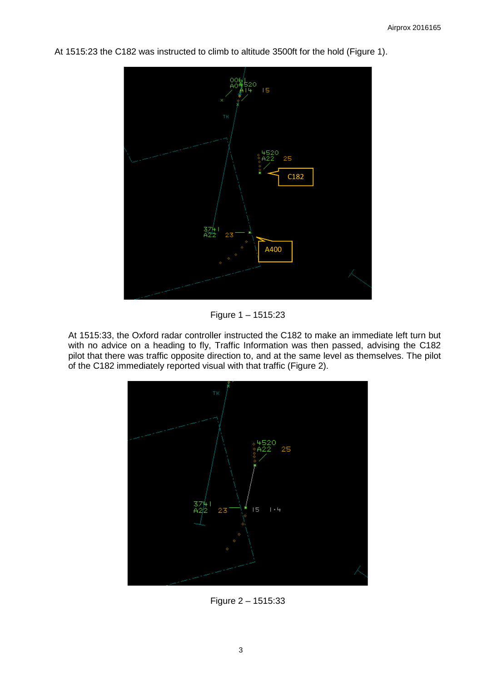At 1515:23 the C182 was instructed to climb to altitude 3500ft for the hold (Figure 1).



Figure 1 – 1515:23

At 1515:33, the Oxford radar controller instructed the C182 to make an immediate left turn but with no advice on a heading to fly, Traffic Information was then passed, advising the C182 pilot that there was traffic opposite direction to, and at the same level as themselves. The pilot of the C182 immediately reported visual with that traffic (Figure 2).



Figure 2 – 1515:33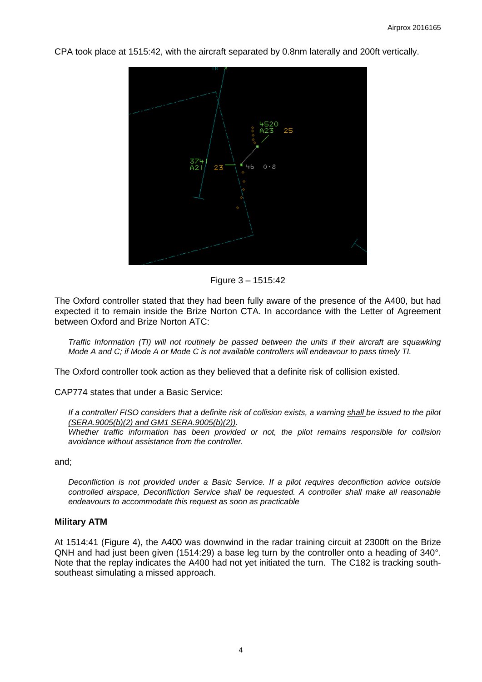CPA took place at 1515:42, with the aircraft separated by 0.8nm laterally and 200ft vertically.



Figure 3 – 1515:42

The Oxford controller stated that they had been fully aware of the presence of the A400, but had expected it to remain inside the Brize Norton CTA. In accordance with the Letter of Agreement between Oxford and Brize Norton ATC:

*Traffic Information (TI) will not routinely be passed between the units if their aircraft are squawking Mode A and C; if Mode A or Mode C is not available controllers will endeavour to pass timely TI.* 

The Oxford controller took action as they believed that a definite risk of collision existed.

CAP774 states that under a Basic Service:

*If a controller/ FISO considers that a definite risk of collision exists, a warning shall be issued to the pilot (SERA.9005(b)(2) and GM1 SERA.9005(b)(2)).* 

*Whether traffic information has been provided or not, the pilot remains responsible for collision avoidance without assistance from the controller.* 

and;

*Deconfliction is not provided under a Basic Service. If a pilot requires deconfliction advice outside controlled airspace, Deconfliction Service shall be requested. A controller shall make all reasonable endeavours to accommodate this request as soon as practicable*

# **Military ATM**

At 1514:41 (Figure 4), the A400 was downwind in the radar training circuit at 2300ft on the Brize QNH and had just been given (1514:29) a base leg turn by the controller onto a heading of 340°. Note that the replay indicates the A400 had not yet initiated the turn. The C182 is tracking southsoutheast simulating a missed approach.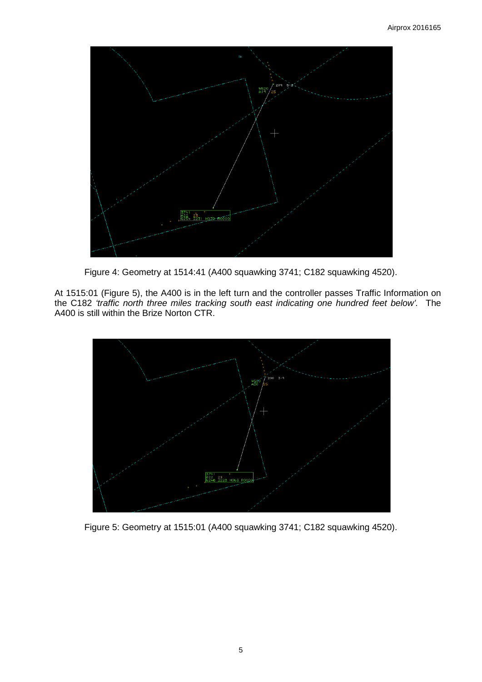

Figure 4: Geometry at 1514:41 (A400 squawking 3741; C182 squawking 4520).

At 1515:01 (Figure 5), the A400 is in the left turn and the controller passes Traffic Information on the C182 *'traffic north three miles tracking south east indicating one hundred feet below'.* The A400 is still within the Brize Norton CTR.



Figure 5: Geometry at 1515:01 (A400 squawking 3741; C182 squawking 4520).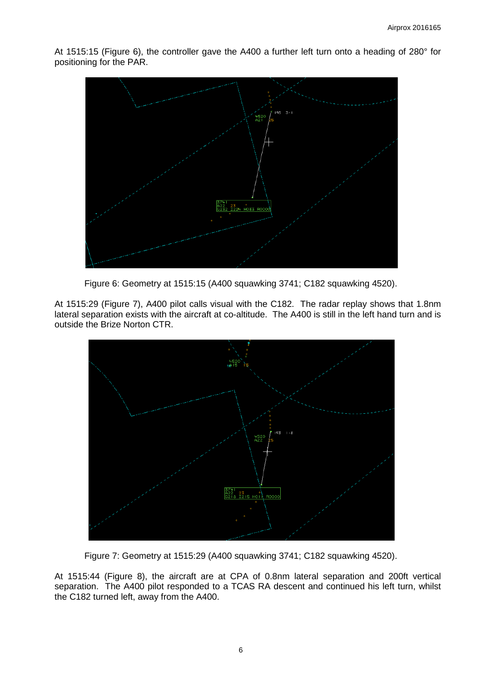At 1515:15 (Figure 6), the controller gave the A400 a further left turn onto a heading of 280° for positioning for the PAR.



Figure 6: Geometry at 1515:15 (A400 squawking 3741; C182 squawking 4520).

At 1515:29 (Figure 7), A400 pilot calls visual with the C182. The radar replay shows that 1.8nm lateral separation exists with the aircraft at co-altitude. The A400 is still in the left hand turn and is outside the Brize Norton CTR.



Figure 7: Geometry at 1515:29 (A400 squawking 3741; C182 squawking 4520).

At 1515:44 (Figure 8), the aircraft are at CPA of 0.8nm lateral separation and 200ft vertical separation. The A400 pilot responded to a TCAS RA descent and continued his left turn, whilst the C182 turned left, away from the A400.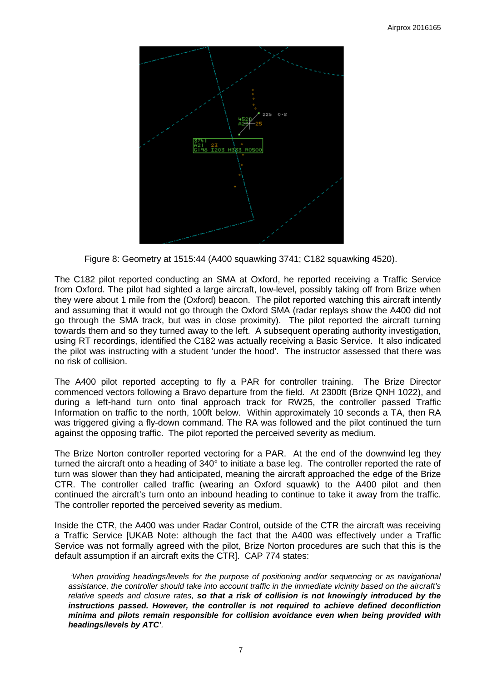

Figure 8: Geometry at 1515:44 (A400 squawking 3741; C182 squawking 4520).

The C182 pilot reported conducting an SMA at Oxford, he reported receiving a Traffic Service from Oxford. The pilot had sighted a large aircraft, low-level, possibly taking off from Brize when they were about 1 mile from the (Oxford) beacon. The pilot reported watching this aircraft intently and assuming that it would not go through the Oxford SMA (radar replays show the A400 did not go through the SMA track, but was in close proximity). The pilot reported the aircraft turning towards them and so they turned away to the left. A subsequent operating authority investigation, using RT recordings, identified the C182 was actually receiving a Basic Service. It also indicated the pilot was instructing with a student 'under the hood'. The instructor assessed that there was no risk of collision.

The A400 pilot reported accepting to fly a PAR for controller training. The Brize Director commenced vectors following a Bravo departure from the field. At 2300ft (Brize QNH 1022), and during a left-hand turn onto final approach track for RW25, the controller passed Traffic Information on traffic to the north, 100ft below. Within approximately 10 seconds a TA, then RA was triggered giving a fly-down command. The RA was followed and the pilot continued the turn against the opposing traffic. The pilot reported the perceived severity as medium.

The Brize Norton controller reported vectoring for a PAR. At the end of the downwind leg they turned the aircraft onto a heading of 340° to initiate a base leg. The controller reported the rate of turn was slower than they had anticipated, meaning the aircraft approached the edge of the Brize CTR. The controller called traffic (wearing an Oxford squawk) to the A400 pilot and then continued the aircraft's turn onto an inbound heading to continue to take it away from the traffic. The controller reported the perceived severity as medium.

Inside the CTR, the A400 was under Radar Control, outside of the CTR the aircraft was receiving a Traffic Service [UKAB Note: although the fact that the A400 was effectively under a Traffic Service was not formally agreed with the pilot, Brize Norton procedures are such that this is the default assumption if an aircraft exits the CTR]. CAP 774 states:

*'When providing headings/levels for the purpose of positioning and/or sequencing or as navigational assistance, the controller should take into account traffic in the immediate vicinity based on the aircraft's relative speeds and closure rates, so that a risk of collision is not knowingly introduced by the instructions passed. However, the controller is not required to achieve defined deconfliction minima and pilots remain responsible for collision avoidance even when being provided with headings/levels by ATC'.*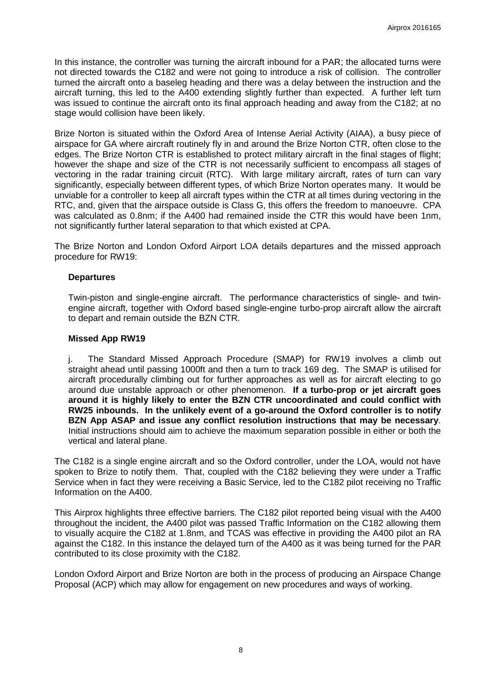In this instance, the controller was turning the aircraft inbound for a PAR; the allocated turns were not directed towards the C182 and were not going to introduce a risk of collision. The controller turned the aircraft onto a baseleg heading and there was a delay between the instruction and the aircraft turning, this led to the A400 extending slightly further than expected. A further left turn was issued to continue the aircraft onto its final approach heading and away from the C182; at no stage would collision have been likely.

Brize Norton is situated within the Oxford Area of Intense Aerial Activity (AIAA), a busy piece of airspace for GA where aircraft routinely fly in and around the Brize Norton CTR, often close to the edges. The Brize Norton CTR is established to protect military aircraft in the final stages of flight; however the shape and size of the CTR is not necessarily sufficient to encompass all stages of vectoring in the radar training circuit (RTC). With large military aircraft, rates of turn can vary significantly, especially between different types, of which Brize Norton operates many. It would be unviable for a controller to keep all aircraft types within the CTR at all times during vectoring in the RTC, and, given that the airspace outside is Class G, this offers the freedom to manoeuvre. CPA was calculated as 0.8nm; if the A400 had remained inside the CTR this would have been 1nm, not significantly further lateral separation to that which existed at CPA.

The Brize Norton and London Oxford Airport LOA details departures and the missed approach procedure for RW19:

### **Departures**

Twin-piston and single-engine aircraft. The performance characteristics of single- and twinengine aircraft, together with Oxford based single-engine turbo-prop aircraft allow the aircraft to depart and remain outside the BZN CTR.

### **Missed App RW19**

j. The Standard Missed Approach Procedure (SMAP) for RW19 involves a climb out straight ahead until passing 1000ft and then a turn to track 169 deg. The SMAP is utilised for aircraft procedurally climbing out for further approaches as well as for aircraft electing to go around due unstable approach or other phenomenon. **If a turbo-prop or jet aircraft goes around it is highly likely to enter the BZN CTR uncoordinated and could conflict with RW25 inbounds. In the unlikely event of a go-around the Oxford controller is to notify BZN App ASAP and issue any conflict resolution instructions that may be necessary**. Initial instructions should aim to achieve the maximum separation possible in either or both the vertical and lateral plane.

The C182 is a single engine aircraft and so the Oxford controller, under the LOA, would not have spoken to Brize to notify them. That, coupled with the C182 believing they were under a Traffic Service when in fact they were receiving a Basic Service, led to the C182 pilot receiving no Traffic Information on the A400.

This Airprox highlights three effective barriers. The C182 pilot reported being visual with the A400 throughout the incident, the A400 pilot was passed Traffic Information on the C182 allowing them to visually acquire the C182 at 1.8nm, and TCAS was effective in providing the A400 pilot an RA against the C182. In this instance the delayed turn of the A400 as it was being turned for the PAR contributed to its close proximity with the C182.

London Oxford Airport and Brize Norton are both in the process of producing an Airspace Change Proposal (ACP) which may allow for engagement on new procedures and ways of working.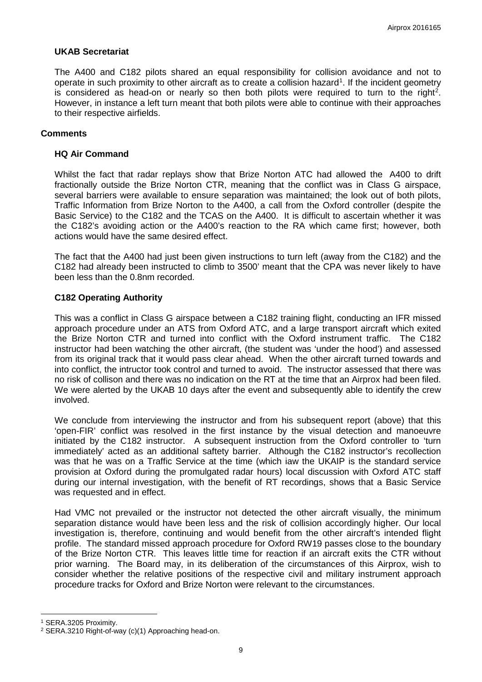### **UKAB Secretariat**

The A400 and C182 pilots shared an equal responsibility for collision avoidance and not to operate in such proximity to other aircraft as to create a collision hazard<sup>[1](#page-8-0)</sup>. If the incident geometry is considered as head-on or nearly so then both pilots were required to turn to the right<sup>[2](#page-8-1)</sup>. However, in instance a left turn meant that both pilots were able to continue with their approaches to their respective airfields.

### **Comments**

#### **HQ Air Command**

Whilst the fact that radar replays show that Brize Norton ATC had allowed the A400 to drift fractionally outside the Brize Norton CTR, meaning that the conflict was in Class G airspace, several barriers were available to ensure separation was maintained; the look out of both pilots, Traffic Information from Brize Norton to the A400, a call from the Oxford controller (despite the Basic Service) to the C182 and the TCAS on the A400. It is difficult to ascertain whether it was the C182's avoiding action or the A400's reaction to the RA which came first; however, both actions would have the same desired effect.

The fact that the A400 had just been given instructions to turn left (away from the C182) and the C182 had already been instructed to climb to 3500' meant that the CPA was never likely to have been less than the 0.8nm recorded.

### **C182 Operating Authority**

This was a conflict in Class G airspace between a C182 training flight, conducting an IFR missed approach procedure under an ATS from Oxford ATC, and a large transport aircraft which exited the Brize Norton CTR and turned into conflict with the Oxford instrument traffic. The C182 instructor had been watching the other aircraft, (the student was 'under the hood') and assessed from its original track that it would pass clear ahead. When the other aircraft turned towards and into conflict, the intructor took control and turned to avoid. The instructor assessed that there was no risk of collison and there was no indication on the RT at the time that an Airprox had been filed. We were alerted by the UKAB 10 days after the event and subsequently able to identify the crew involved.

We conclude from interviewing the instructor and from his subsequent report (above) that this 'open-FIR' conflict was resolved in the first instance by the visual detection and manoeuvre initiated by the C182 instructor. A subsequent instruction from the Oxford controller to 'turn immediately' acted as an additional saftety barrier. Although the C182 instructor's recollection was that he was on a Traffic Service at the time (which iaw the UKAIP is the standard service provision at Oxford during the promulgated radar hours) local discussion with Oxford ATC staff during our internal investigation, with the benefit of RT recordings, shows that a Basic Service was requested and in effect.

Had VMC not prevailed or the instructor not detected the other aircraft visually, the minimum separation distance would have been less and the risk of collision accordingly higher. Our local investigation is, therefore, continuing and would benefit from the other aircraft's intended flight profile. The standard missed approach procedure for Oxford RW19 passes close to the boundary of the Brize Norton CTR. This leaves little time for reaction if an aircraft exits the CTR without prior warning. The Board may, in its deliberation of the circumstances of this Airprox, wish to consider whether the relative positions of the respective civil and military instrument approach procedure tracks for Oxford and Brize Norton were relevant to the circumstances.

l

<span id="page-8-0"></span><sup>1</sup> SERA.3205 Proximity.

<span id="page-8-1"></span><sup>2</sup> SERA.3210 Right-of-way (c)(1) Approaching head-on.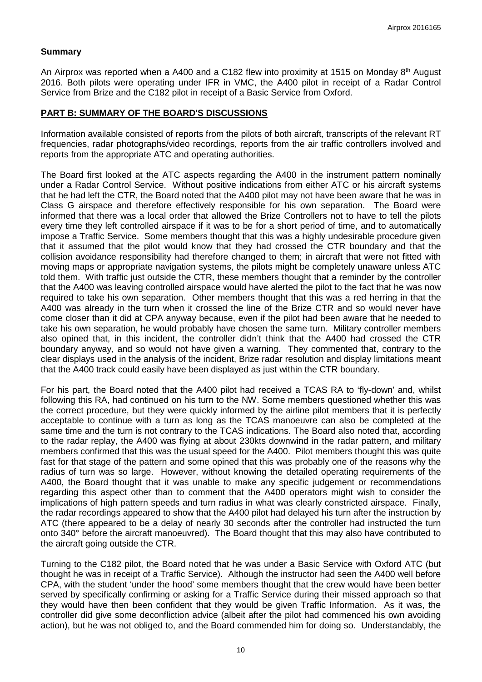### **Summary**

An Airprox was reported when a A400 and a C182 flew into proximity at 1515 on Monday  $8<sup>th</sup>$  August 2016. Both pilots were operating under IFR in VMC, the A400 pilot in receipt of a Radar Control Service from Brize and the C182 pilot in receipt of a Basic Service from Oxford.

## **PART B: SUMMARY OF THE BOARD'S DISCUSSIONS**

Information available consisted of reports from the pilots of both aircraft, transcripts of the relevant RT frequencies, radar photographs/video recordings, reports from the air traffic controllers involved and reports from the appropriate ATC and operating authorities.

The Board first looked at the ATC aspects regarding the A400 in the instrument pattern nominally under a Radar Control Service. Without positive indications from either ATC or his aircraft systems that he had left the CTR, the Board noted that the A400 pilot may not have been aware that he was in Class G airspace and therefore effectively responsible for his own separation. The Board were informed that there was a local order that allowed the Brize Controllers not to have to tell the pilots every time they left controlled airspace if it was to be for a short period of time, and to automatically impose a Traffic Service. Some members thought that this was a highly undesirable procedure given that it assumed that the pilot would know that they had crossed the CTR boundary and that the collision avoidance responsibility had therefore changed to them; in aircraft that were not fitted with moving maps or appropriate navigation systems, the pilots might be completely unaware unless ATC told them. With traffic just outside the CTR, these members thought that a reminder by the controller that the A400 was leaving controlled airspace would have alerted the pilot to the fact that he was now required to take his own separation. Other members thought that this was a red herring in that the A400 was already in the turn when it crossed the line of the Brize CTR and so would never have come closer than it did at CPA anyway because, even if the pilot had been aware that he needed to take his own separation, he would probably have chosen the same turn. Military controller members also opined that, in this incident, the controller didn't think that the A400 had crossed the CTR boundary anyway, and so would not have given a warning. They commented that, contrary to the clear displays used in the analysis of the incident, Brize radar resolution and display limitations meant that the A400 track could easily have been displayed as just within the CTR boundary.

For his part, the Board noted that the A400 pilot had received a TCAS RA to 'fly-down' and, whilst following this RA, had continued on his turn to the NW. Some members questioned whether this was the correct procedure, but they were quickly informed by the airline pilot members that it is perfectly acceptable to continue with a turn as long as the TCAS manoeuvre can also be completed at the same time and the turn is not contrary to the TCAS indications. The Board also noted that, according to the radar replay, the A400 was flying at about 230kts downwind in the radar pattern, and military members confirmed that this was the usual speed for the A400. Pilot members thought this was quite fast for that stage of the pattern and some opined that this was probably one of the reasons why the radius of turn was so large. However, without knowing the detailed operating requirements of the A400, the Board thought that it was unable to make any specific judgement or recommendations regarding this aspect other than to comment that the A400 operators might wish to consider the implications of high pattern speeds and turn radius in what was clearly constricted airspace. Finally, the radar recordings appeared to show that the A400 pilot had delayed his turn after the instruction by ATC (there appeared to be a delay of nearly 30 seconds after the controller had instructed the turn onto 340° before the aircraft manoeuvred). The Board thought that this may also have contributed to the aircraft going outside the CTR.

Turning to the C182 pilot, the Board noted that he was under a Basic Service with Oxford ATC (but thought he was in receipt of a Traffic Service). Although the instructor had seen the A400 well before CPA, with the student 'under the hood' some members thought that the crew would have been better served by specifically confirming or asking for a Traffic Service during their missed approach so that they would have then been confident that they would be given Traffic Information. As it was, the controller did give some deconfliction advice (albeit after the pilot had commenced his own avoiding action), but he was not obliged to, and the Board commended him for doing so. Understandably, the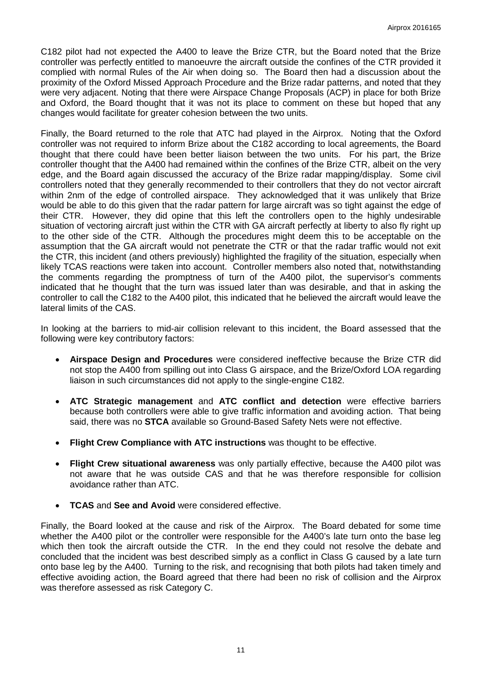C182 pilot had not expected the A400 to leave the Brize CTR, but the Board noted that the Brize controller was perfectly entitled to manoeuvre the aircraft outside the confines of the CTR provided it complied with normal Rules of the Air when doing so. The Board then had a discussion about the proximity of the Oxford Missed Approach Procedure and the Brize radar patterns, and noted that they were very adjacent. Noting that there were Airspace Change Proposals (ACP) in place for both Brize and Oxford, the Board thought that it was not its place to comment on these but hoped that any changes would facilitate for greater cohesion between the two units.

Finally, the Board returned to the role that ATC had played in the Airprox. Noting that the Oxford controller was not required to inform Brize about the C182 according to local agreements, the Board thought that there could have been better liaison between the two units. For his part, the Brize controller thought that the A400 had remained within the confines of the Brize CTR, albeit on the very edge, and the Board again discussed the accuracy of the Brize radar mapping/display. Some civil controllers noted that they generally recommended to their controllers that they do not vector aircraft within 2nm of the edge of controlled airspace. They acknowledged that it was unlikely that Brize would be able to do this given that the radar pattern for large aircraft was so tight against the edge of their CTR. However, they did opine that this left the controllers open to the highly undesirable situation of vectoring aircraft just within the CTR with GA aircraft perfectly at liberty to also fly right up to the other side of the CTR. Although the procedures might deem this to be acceptable on the assumption that the GA aircraft would not penetrate the CTR or that the radar traffic would not exit the CTR, this incident (and others previously) highlighted the fragility of the situation, especially when likely TCAS reactions were taken into account. Controller members also noted that, notwithstanding the comments regarding the promptness of turn of the A400 pilot, the supervisor's comments indicated that he thought that the turn was issued later than was desirable, and that in asking the controller to call the C182 to the A400 pilot, this indicated that he believed the aircraft would leave the lateral limits of the CAS.

In looking at the barriers to mid-air collision relevant to this incident, the Board assessed that the following were key contributory factors:

- **Airspace Design and Procedures** were considered ineffective because the Brize CTR did not stop the A400 from spilling out into Class G airspace, and the Brize/Oxford LOA regarding liaison in such circumstances did not apply to the single-engine C182.
- **ATC Strategic management** and **ATC conflict and detection** were effective barriers because both controllers were able to give traffic information and avoiding action. That being said, there was no **STCA** available so Ground-Based Safety Nets were not effective.
- **Flight Crew Compliance with ATC instructions** was thought to be effective.
- **Flight Crew situational awareness** was only partially effective, because the A400 pilot was not aware that he was outside CAS and that he was therefore responsible for collision avoidance rather than ATC.
- **TCAS** and **See and Avoid** were considered effective.

Finally, the Board looked at the cause and risk of the Airprox. The Board debated for some time whether the A400 pilot or the controller were responsible for the A400's late turn onto the base leg which then took the aircraft outside the CTR. In the end they could not resolve the debate and concluded that the incident was best described simply as a conflict in Class G caused by a late turn onto base leg by the A400. Turning to the risk, and recognising that both pilots had taken timely and effective avoiding action, the Board agreed that there had been no risk of collision and the Airprox was therefore assessed as risk Category C.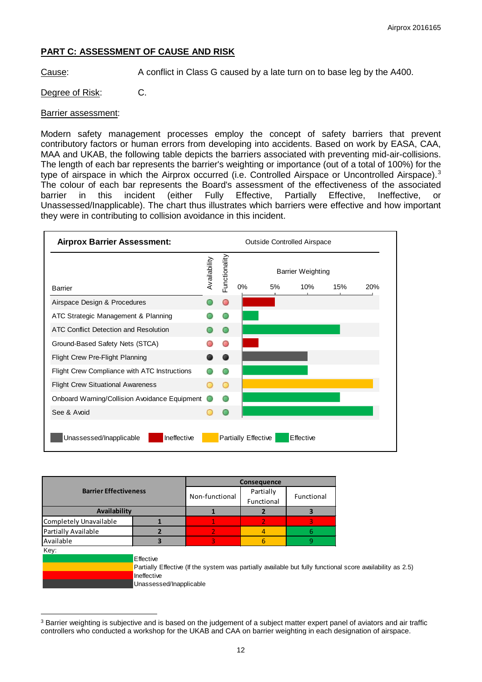# **PART C: ASSESSMENT OF CAUSE AND RISK**

Cause: A conflict in Class G caused by a late turn on to base leg by the A400.

# Degree of Risk: C.

#### Barrier assessment:

Modern safety management processes employ the concept of safety barriers that prevent contributory factors or human errors from developing into accidents. Based on work by EASA, CAA, MAA and UKAB, the following table depicts the barriers associated with preventing mid-air-collisions. The length of each bar represents the barrier's weighting or importance (out of a total of 100%) for the type of airspace in which the Airprox occurred (i.e. Controlled Airspace or Uncontrolled Airspace).<sup>[3](#page-11-0)</sup> The colour of each bar represents the Board's assessment of the effectiveness of the associated barrier in this incident (either Fully Effective, Partially Effective, Ineffective, or Unassessed/Inapplicable). The chart thus illustrates which barriers were effective and how important they were in contributing to collision avoidance in this incident.



|                              |                         | Consequence                                                                                                |            |   |  |
|------------------------------|-------------------------|------------------------------------------------------------------------------------------------------------|------------|---|--|
| <b>Barrier Effectiveness</b> | Non-functional          | Partially                                                                                                  |            |   |  |
|                              |                         | Functional                                                                                                 | Functional |   |  |
| Availability                 |                         |                                                                                                            |            | з |  |
| Completely Unavailable       |                         |                                                                                                            |            | 3 |  |
| Partially Available          |                         | $\overline{2}$                                                                                             | 4          | 6 |  |
| Available                    |                         | 3                                                                                                          | 6          | 9 |  |
| Key:                         |                         |                                                                                                            |            |   |  |
|                              | Effective               |                                                                                                            |            |   |  |
|                              |                         | Partially Effective (If the system was partially available but fully functional score availability as 2.5) |            |   |  |
|                              | Ineffective             |                                                                                                            |            |   |  |
|                              | Unassessed/Inapplicable |                                                                                                            |            |   |  |

<span id="page-11-0"></span>l <sup>3</sup> Barrier weighting is subjective and is based on the judgement of a subject matter expert panel of aviators and air traffic controllers who conducted a workshop for the UKAB and CAA on barrier weighting in each designation of airspace.